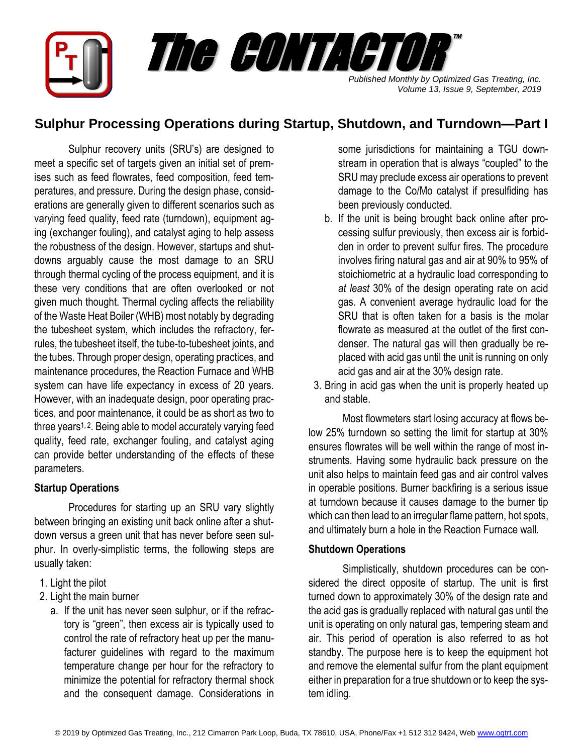

# **Sulphur Processing Operations during Startup, Shutdown, and Turndown—Part I**

Sulphur recovery units (SRU's) are designed to meet a specific set of targets given an initial set of premises such as feed flowrates, feed composition, feed temperatures, and pressure. During the design phase, considerations are generally given to different scenarios such as varying feed quality, feed rate (turndown), equipment aging (exchanger fouling), and catalyst aging to help assess the robustness of the design. However, startups and shutdowns arguably cause the most damage to an SRU through thermal cycling of the process equipment, and it is these very conditions that are often overlooked or not given much thought. Thermal cycling affects the reliability of the Waste Heat Boiler (WHB) most notably by degrading the tubesheet system, which includes the refractory, ferrules, the tubesheet itself, the tube-to-tubesheet joints, and the tubes. Through proper design, operating practices, and maintenance procedures, the Reaction Furnace and WHB system can have life expectancy in excess of 20 years. However, with an inadequate design, poor operating practices, and poor maintenance, it could be as short as two to three years<sup>1, 2</sup>. Being able to model accurately varying feed quality, feed rate, exchanger fouling, and catalyst aging can provide better understanding of the effects of these parameters.

# **Startup Operations**

Procedures for starting up an SRU vary slightly between bringing an existing unit back online after a shutdown versus a green unit that has never before seen sulphur. In overly-simplistic terms, the following steps are usually taken:

- 1. Light the pilot
- 2. Light the main burner
	- a. If the unit has never seen sulphur, or if the refractory is "green", then excess air is typically used to control the rate of refractory heat up per the manufacturer guidelines with regard to the maximum temperature change per hour for the refractory to minimize the potential for refractory thermal shock and the consequent damage. Considerations in

some jurisdictions for maintaining a TGU downstream in operation that is always "coupled" to the SRU may preclude excess air operations to prevent damage to the Co/Mo catalyst if presulfiding has been previously conducted.

- b. If the unit is being brought back online after processing sulfur previously, then excess air is forbidden in order to prevent sulfur fires. The procedure involves firing natural gas and air at 90% to 95% of stoichiometric at a hydraulic load corresponding to *at least* 30% of the design operating rate on acid gas. A convenient average hydraulic load for the SRU that is often taken for a basis is the molar flowrate as measured at the outlet of the first condenser. The natural gas will then gradually be replaced with acid gas until the unit is running on only acid gas and air at the 30% design rate.
- 3. Bring in acid gas when the unit is properly heated up and stable.

Most flowmeters start losing accuracy at flows below 25% turndown so setting the limit for startup at 30% ensures flowrates will be well within the range of most instruments. Having some hydraulic back pressure on the unit also helps to maintain feed gas and air control valves in operable positions. Burner backfiring is a serious issue at turndown because it causes damage to the burner tip which can then lead to an irregular flame pattern, hot spots, and ultimately burn a hole in the Reaction Furnace wall.

# **Shutdown Operations**

Simplistically, shutdown procedures can be considered the direct opposite of startup. The unit is first turned down to approximately 30% of the design rate and the acid gas is gradually replaced with natural gas until the unit is operating on only natural gas, tempering steam and air. This period of operation is also referred to as hot standby. The purpose here is to keep the equipment hot and remove the elemental sulfur from the plant equipment either in preparation for a true shutdown or to keep the system idling.